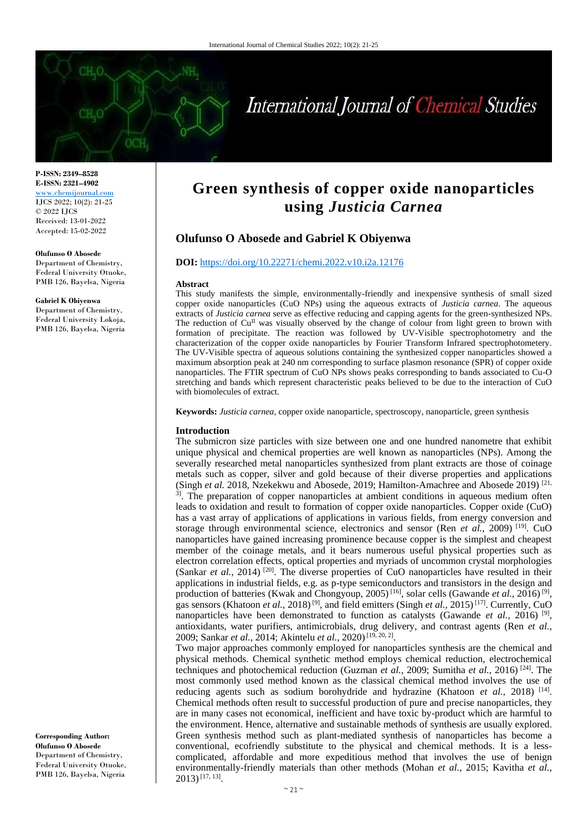

# International Journal of Chemical Studies

**P-ISSN: 2349–8528 E-ISSN: 2321–4902** <www.chemijournal.com> IJCS 2022; 10(2): 21-25 © 2022 IJCS Received: 13-01-2022 Accepted: 15-02-2022

#### **Olufunso O Abosede**

Department of Chemistry, Federal University Otuoke, PMB 126, Bayelsa, Nigeria

#### **Gabriel K Obiyenwa**

Department of Chemistry, Federal University Lokoja, PMB 126, Bayelsa, Nigeria

**Corresponding Author: Olufunso O Abosede** Department of Chemistry, Federal University Otuoke, PMB 126, Bayelsa, Nigeria

# **Green synthesis of copper oxide nanoparticles using** *Justicia Carnea*

# **Olufunso O Abosede and Gabriel K Obiyenwa**

#### **DOI:** <https://doi.org/10.22271/chemi.2022.v10.i2a.12176>

#### **Abstract**

This study manifests the simple, environmentally-friendly and inexpensive synthesis of small sized copper oxide nanoparticles (CuO NPs) using the aqueous extracts of *Justicia carnea*. The aqueous extracts of *Justicia* carnea serve as effective reducing and capping agents for the green-synthesized NPs. The reduction of  $Cu<sup>H</sup>$  was visually observed by the change of colour from light green to brown with formation of precipitate. The reaction was followed by UV-Visible spectrophotometry and the characterization of the copper oxide nanoparticles by Fourier Transform Infrared spectrophotometery. The UV-Visible spectra of aqueous solutions containing the synthesized copper nanoparticles showed a maximum absorption peak at 240 nm corresponding to surface plasmon resonance (SPR) of copper oxide nanoparticles. The FTIR spectrum of CuO NPs shows peaks corresponding to bands associated to Cu-O stretching and bands which represent characteristic peaks believed to be due to the interaction of CuO with biomolecules of extract.

**Keywords:** *Justicia carnea*, copper oxide nanoparticle, spectroscopy, nanoparticle, green synthesis

#### **Introduction**

The submicron size particles with size between one and one hundred nanometre that exhibit unique physical and chemical properties are well known as nanoparticles (NPs). Among the severally researched metal nanoparticles synthesized from plant extracts are those of coinage metals such as copper, silver and gold because of their diverse properties and applications (Singh *et al.* 2018, Nzekekwu and Abosede, 2019; Hamilton-Amachree and Abosede 2019) [21, <sup>3]</sup>. The preparation of copper nanoparticles at ambient conditions in aqueous medium often leads to oxidation and result to formation of copper oxide nanoparticles. Copper oxide (CuO) has a vast array of applications of applications in various fields, from energy conversion and storage through environmental science, electronics and sensor (Ren *et al.*, 2009)<sup>[19]</sup>. CuO nanoparticles have gained increasing prominence because copper is the simplest and cheapest member of the coinage metals, and it bears numerous useful physical properties such as electron correlation effects, optical properties and myriads of uncommon crystal morphologies (Sankar et al., 2014)<sup>[20]</sup>. The diverse properties of CuO nanoparticles have resulted in their applications in industrial fields, e.g. as p-type semiconductors and transistors in the design and production of batteries (Kwak and Chongyoup, 2005)<sup>[16]</sup>, solar cells (Gawande *et al.*, 2016)<sup>[9]</sup>, gas sensors (Khatoon *et al.,* 2018)<sup>[9]</sup>, and field emitters (Singh *et al.,* 2015)<sup>[17]</sup>. Currently, CuO nanoparticles have been demonstrated to function as catalysts (Gawande *et al.*, 2016)<sup>[9]</sup>, antioxidants, water purifiers, antimicrobials, drug delivery, and contrast agents (Ren *et al.,* 2009; Sankar *et al.*, 2014; Akintelu *et al.*, 2020)<sup>[19, 20, 2]</sup>.

Two major approaches commonly employed for nanoparticles synthesis are the chemical and physical methods. Chemical synthetic method employs chemical reduction, electrochemical techniques and photochemical reduction (Guzman *et al.,* 2009; Sumitha *et al.,* 2016) [24] . The most commonly used method known as the classical chemical method involves the use of reducing agents such as sodium borohydride and hydrazine (Khatoon *et al.*, 2018)<sup>[14]</sup>. Chemical methods often result to successful production of pure and precise nanoparticles, they are in many cases not economical, inefficient and have toxic by-product which are harmful to the environment. Hence, alternative and sustainable methods of synthesis are usually explored. Green synthesis method such as plant-mediated synthesis of nanoparticles has become a conventional, ecofriendly substitute to the physical and chemical methods. It is a lesscomplicated, affordable and more expeditious method that involves the use of benign environmentally-friendly materials than other methods (Mohan *et al.,* 2015; Kavitha *et al.,* 2013)[17, 13] .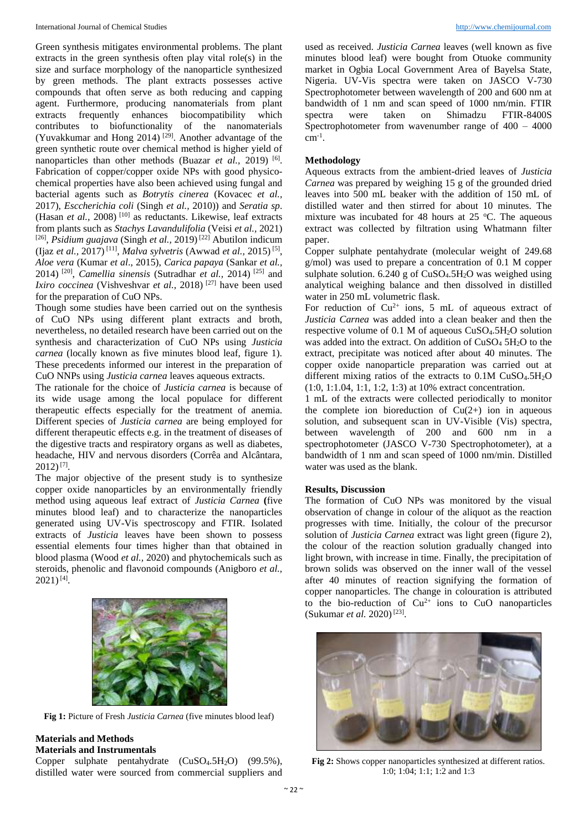Green synthesis mitigates environmental problems. The plant extracts in the green synthesis often play vital role(s) in the size and surface morphology of the nanoparticle synthesized by green methods. The plant extracts possesses active compounds that often serve as both reducing and capping agent. Furthermore, producing nanomaterials from plant extracts frequently enhances biocompatibility which contributes to biofunctionality of the nanomaterials (Yuvakkumar and Hong 2014)<sup>[29]</sup>. Another advantage of the green synthetic route over chemical method is higher yield of nanoparticles than other methods (Buazar *et al.*, 2019)<sup>[6]</sup>. Fabrication of copper/copper oxide NPs with good physicochemical properties have also been achieved using fungal and bacterial agents such as *Botrytis cinerea* (Kovacec *et al.,* 2017), *Esccherichia coli* (Singh *et al.,* 2010)) and *Seratia sp*. (Hasan *et al.,* 2008) [10] as reductants. Likewise, leaf extracts from plants such as *Stachys Lavandulifolia* (Veisi *et al.,* 2021) [26] , *Psidium guajava* (Singh *et al.,* 2019) [22] Abutilon indicum (Ijaz *et al.,* 2017) [11] , *Malva sylvetris* (Awwad *et al.,* 2015) [5] , *Aloe vera* (Kumar *et al*., 2015), *Carica papaya* (Sankar *et al.,* 2014) [20] , *Camellia sinensis* (Sutradhar *et al.,* 2014) [25] and *Ixiro coccinea* (Vishveshvar *et al.*, 2018)<sup>[27]</sup> have been used for the preparation of CuO NPs.

Though some studies have been carried out on the synthesis of CuO NPs using different plant extracts and broth, nevertheless, no detailed research have been carried out on the synthesis and characterization of CuO NPs using *Justicia carnea* (locally known as five minutes blood leaf, figure 1)*.*  These precedents informed our interest in the preparation of CuO NNPs using *Justicia carnea* leaves aqueous extracts.

The rationale for the choice of *Justicia carnea* is because of its wide usage among the local populace for different therapeutic effects especially for the treatment of anemia. Different species of *Justicia carnea* are being employed for different therapeutic effects e.g. in the treatment of diseases of the digestive tracts and respiratory organs as well as diabetes, headache, HIV and nervous disorders (Corrêa and Alcântara,  $2012$ )<sup>[7]</sup>.

The major objective of the present study is to synthesize copper oxide nanoparticles by an environmentally friendly method using aqueous leaf extract of *Justicia Carnea* **(**five minutes blood leaf) and to characterize the nanoparticles generated using UV-Vis spectroscopy and FTIR. Isolated extracts of *Justicia* leaves have been shown to possess essential elements four times higher than that obtained in blood plasma (Wood *et al.,* 2020) and phytochemicals such as steroids, phenolic and flavonoid compounds (Anigboro *et al.,*   $2021$ )<sup>[4]</sup>.



**Fig 1:** Picture of Fresh *Justicia Carnea* (five minutes blood leaf)

# **Materials and Methods**

# **Materials and Instrumentals**

Copper sulphate pentahydrate (CuSO<sub>4</sub>.5H<sub>2</sub>O) (99.5%), distilled water were sourced from commercial suppliers and

used as received. *Justicia Carnea* leaves (well known as five minutes blood leaf) were bought from Otuoke community market in Ogbia Local Government Area of Bayelsa State, Nigeria. UV-Vis spectra were taken on JASCO V-730 Spectrophotometer between wavelength of 200 and 600 nm at bandwidth of 1 nm and scan speed of 1000 nm/min. FTIR spectra were taken on Shimadzu FTIR-8400S Spectrophotometer from wavenumber range of 400 – 4000  $cm^{-1}$ .

#### **Methodology**

Aqueous extracts from the ambient-dried leaves of *Justicia Carnea* was prepared by weighing 15 g of the grounded dried leaves into 500 mL beaker with the addition of 150 mL of distilled water and then stirred for about 10 minutes. The mixture was incubated for 48 hours at  $25^{\circ}$ C. The aqueous extract was collected by filtration using Whatmann filter paper.

Copper sulphate pentahydrate (molecular weight of 249.68 g/mol) was used to prepare a concentration of 0.1 M copper sulphate solution.  $6.240$  g of CuSO<sub>4</sub>.5H<sub>2</sub>O was weighed using analytical weighing balance and then dissolved in distilled water in 250 mL volumetric flask.

For reduction of  $Cu^{2+}$  ions, 5 mL of aqueous extract of *Justicia Carnea* was added into a clean beaker and then the respective volume of 0.1 M of aqueous  $CuSO<sub>4</sub>.5H<sub>2</sub>O$  solution was added into the extract. On addition of  $CuSO<sub>4</sub> 5H<sub>2</sub>O$  to the extract, precipitate was noticed after about 40 minutes. The copper oxide nanoparticle preparation was carried out at different mixing ratios of the extracts to  $0.1M \text{ CuSO}_4.5H_2O$ (1:0, 1:1.04, 1:1, 1:2, 1:3) at 10% extract concentration.

1 mL of the extracts were collected periodically to monitor the complete ion bioreduction of  $Cu(2+)$  ion in aqueous solution, and subsequent scan in UV-Visible (Vis) spectra, between wavelength of 200 and 600 nm in a spectrophotometer (JASCO V-730 Spectrophotometer), at a bandwidth of 1 nm and scan speed of 1000 nm/min. Distilled water was used as the blank.

#### **Results, Discussion**

The formation of CuO NPs was monitored by the visual observation of change in colour of the aliquot as the reaction progresses with time. Initially, the colour of the precursor solution of *Justicia Carnea* extract was light green (figure 2), the colour of the reaction solution gradually changed into light brown, with increase in time. Finally, the precipitation of brown solids was observed on the inner wall of the vessel after 40 minutes of reaction signifying the formation of copper nanoparticles. The change in colouration is attributed to the bio-reduction of  $Cu^{2+}$  ions to CuO nanoparticles (Sukumar et al. 2020)<sup>[23]</sup>.



**Fig 2:** Shows copper nanoparticles synthesized at different ratios. 1:0; 1:04; 1:1; 1:2 and 1:3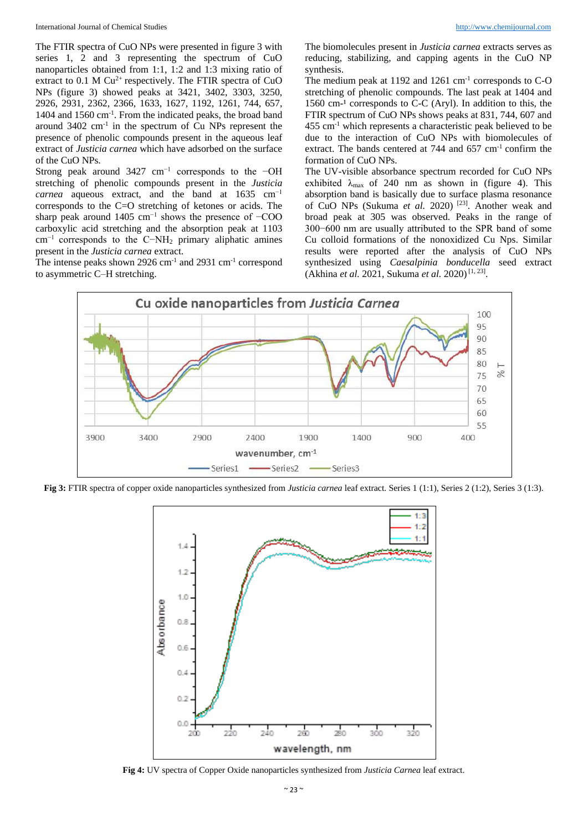The FTIR spectra of CuO NPs were presented in figure 3 with series 1, 2 and 3 representing the spectrum of CuO nanoparticles obtained from 1:1, 1:2 and 1:3 mixing ratio of extract to  $0.1$  M Cu<sup>2+</sup> respectively. The FTIR spectra of CuO NPs (figure 3) showed peaks at 3421, 3402, 3303, 3250, 2926, 2931, 2362, 2366, 1633, 1627, 1192, 1261, 744, 657, 1404 and 1560 cm-1 . From the indicated peaks, the broad band around 3402 cm-1 in the spectrum of Cu NPs represent the presence of phenolic compounds present in the aqueous leaf extract of *Justicia carnea* which have adsorbed on the surface of the CuO NPs.

Strong peak around 3427 cm<sup>-1</sup> corresponds to the −OH stretching of phenolic compounds present in the *Justicia carnea* aqueous extract, and the band at 1635 cm−1 corresponds to the C=O stretching of ketones or acids. The sharp peak around 1405 cm<sup>-1</sup> shows the presence of  $-\text{COO}$ carboxylic acid stretching and the absorption peak at 1103 cm−1 corresponds to the C−NH<sup>2</sup> primary aliphatic amines present in the *Justicia carnea* extract.

The intense peaks shown 2926 cm<sup>-1</sup> and 2931 cm<sup>-1</sup> correspond to asymmetric C–H stretching.

The biomolecules present in *Justicia carnea* extracts serves as reducing, stabilizing, and capping agents in the CuO NP synthesis.

The medium peak at 1192 and 1261 cm<sup>-1</sup> corresponds to C-O stretching of phenolic compounds. The last peak at 1404 and 1560 cm $-1$  corresponds to C-C (Aryl). In addition to this, the FTIR spectrum of CuO NPs shows peaks at 831, 744, 607 and  $455$  cm<sup>-1</sup> which represents a characteristic peak believed to be due to the interaction of CuO NPs with biomolecules of extract. The bands centered at 744 and 657 cm<sup>-1</sup> confirm the formation of CuO NPs.

The UV-visible absorbance spectrum recorded for CuO NPs exhibited  $\lambda_{\text{max}}$  of 240 nm as shown in (figure 4). This absorption band is basically due to surface plasma resonance of CuO NPs (Sukuma et al. 2020)<sup>[23]</sup>. Another weak and broad peak at 305 was observed. Peaks in the range of 300−600 nm are usually attributed to the SPR band of some Cu colloid formations of the nonoxidized Cu Nps. Similar results were reported after the analysis of CuO NPs synthesized using *Caesalpinia bonducella* seed extract (Akhina et al. 2021, Sukuma et al. 2020)<sup>[1, 23]</sup>.



**Fig 3:** FTIR spectra of copper oxide nanoparticles synthesized from *Justicia carnea* leaf extract. Series 1 (1:1), Series 2 (1:2), Series 3 (1:3).



**Fig 4:** UV spectra of Copper Oxide nanoparticles synthesized from *Justicia Carnea* leaf extract.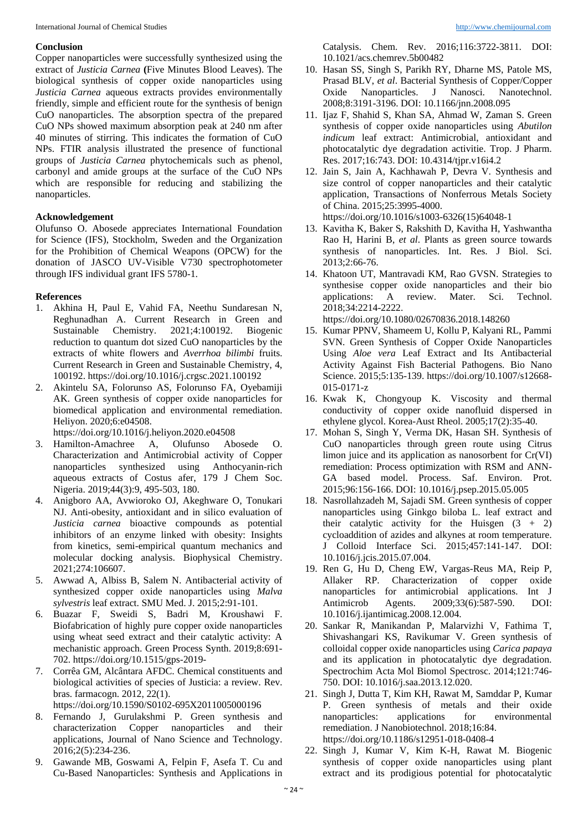### **Conclusion**

Copper nanoparticles were successfully synthesized using the extract of *Justicia Carnea* **(**Five Minutes Blood Leaves). The biological synthesis of copper oxide nanoparticles using *Justicia Carnea* aqueous extracts provides environmentally friendly, simple and efficient route for the synthesis of benign CuO nanoparticles. The absorption spectra of the prepared CuO NPs showed maximum absorption peak at 240 nm after 40 minutes of stirring. This indicates the formation of CuO NPs. FTIR analysis illustrated the presence of functional groups of *Justicia Carnea* phytochemicals such as phenol, carbonyl and amide groups at the surface of the CuO NPs which are responsible for reducing and stabilizing the nanoparticles.

## **Acknowledgement**

Olufunso O. Abosede appreciates International Foundation for Science (IFS), Stockholm, Sweden and the Organization for the Prohibition of Chemical Weapons (OPCW) for the donation of JASCO UV-Visible V730 spectrophotometer through IFS individual grant IFS 5780-1.

#### **References**

- 1. Akhina H, Paul E, Vahid FA, Neethu Sundaresan N, Reghunadhan A. Current Research in Green and Sustainable Chemistry. 2021;4:100192. Biogenic reduction to quantum dot sized CuO nanoparticles by the extracts of white flowers and *Averrhoa bilimbi* fruits. Current Research in Green and Sustainable Chemistry, 4, 100192. https://doi.org/10.1016/j.crgsc.2021.100192
- 2. Akintelu SA, Folorunso AS, Folorunso FA, Oyebamiji AK. Green synthesis of copper oxide nanoparticles for biomedical application and environmental remediation. Heliyon. 2020;6:e04508.

https://doi.org/10.1016/j.heliyon.2020.e04508

- 3. Hamilton-Amachree A, Olufunso Abosede O. Characterization and Antimicrobial activity of Copper nanoparticles synthesized using Anthocyanin-rich aqueous extracts of Costus afer, 179 J Chem Soc. Nigeria. 2019;44(3):9, 495-503, 180.
- 4. Anigboro AA, Avwioroko OJ, Akeghware O, Tonukari NJ. Anti-obesity, antioxidant and in silico evaluation of *Justicia carnea* bioactive compounds as potential inhibitors of an enzyme linked with obesity: Insights from kinetics, semi-empirical quantum mechanics and molecular docking analysis. Biophysical Chemistry. 2021;274:106607.
- 5. Awwad A, Albiss B, Salem N. Antibacterial activity of synthesized copper oxide nanoparticles using *Malva sylvestris* leaf extract. SMU Med. J. 2015;2:91-101.
- 6. Buazar F, Sweidi S, Badri M, Kroushawi F. Biofabrication of highly pure copper oxide nanoparticles using wheat seed extract and their catalytic activity: A mechanistic approach. Green Process Synth. 2019;8:691- 702. https://doi.org/10.1515/gps-2019-
- 7. Corrêa GM, Alcântara AFDC. Chemical constituents and biological activities of species of Justicia: a review. Rev. bras. farmacogn. 2012, 22(1). https://doi.org/10.1590/S0102-695X2011005000196
- 8. Fernando J, Gurulakshmi P. Green synthesis and characterization Copper nanoparticles and their applications, Journal of Nano Science and Technology. 2016;2(5):234-236.
- 9. Gawande MB, Goswami A, Felpin F, Asefa T. Cu and Cu-Based Nanoparticles: Synthesis and Applications in

Catalysis. Chem. Rev. 2016;116:3722-3811. DOI: 10.1021/acs.chemrev.5b00482

- 10. Hasan SS, Singh S, Parikh RY, Dharne MS, Patole MS, Prasad BLV, *et al*. Bacterial Synthesis of Copper/Copper Oxide Nanoparticles. J Nanosci. Nanotechnol. 2008;8:3191-3196. DOI: 10.1166/jnn.2008.095
- 11. Ijaz F, Shahid S, Khan SA, Ahmad W, Zaman S. Green synthesis of copper oxide nanoparticles using *Abutilon indicum* leaf extract: Antimicrobial, antioxidant and photocatalytic dye degradation activitie. Trop. J Pharm. Res. 2017;16:743. DOI: 10.4314/tjpr.v16i4.2
- 12. Jain S, Jain A, Kachhawah P, Devra V. Synthesis and size control of copper nanoparticles and their catalytic application, Transactions of Nonferrous Metals Society of China. 2015;25:3995-4000.

https://doi.org/10.1016/s1003-6326(15)64048-1

- 13. Kavitha K, Baker S, Rakshith D, Kavitha H, Yashwantha Rao H, Harini B, *et al*. Plants as green source towards synthesis of nanoparticles. Int. Res. J Biol. Sci. 2013;2:66-76.
- 14. Khatoon UT, Mantravadi KM, Rao GVSN. Strategies to synthesise copper oxide nanoparticles and their bio applications: A review. Mater. Sci. Technol. 2018;34:2214-2222. https://doi.org/10.1080/02670836.2018.148260

15. Kumar PPNV, Shameem U, Kollu P, Kalyani RL, Pammi SVN. Green Synthesis of Copper Oxide Nanoparticles Using *Aloe vera* Leaf Extract and Its Antibacterial Activity Against Fish Bacterial Pathogens. Bio Nano Science. 2015;5:135-139. https://doi.org/10.1007/s12668- 015-0171-z

- 16. Kwak K, Chongyoup K. Viscosity and thermal conductivity of copper oxide nanofluid dispersed in ethylene glycol. Korea-Aust Rheol. 2005;17(2):35-40.
- 17. Mohan S, Singh Y, Verma DK, Hasan SH. Synthesis of CuO nanoparticles through green route using Citrus limon juice and its application as nanosorbent for Cr(VI) remediation: Process optimization with RSM and ANN-GA based model. Process. Saf. Environ. Prot. 2015;96:156-166. DOI: 10.1016/j.psep.2015.05.005
- 18. Nasrollahzadeh M, Sajadi SM. Green synthesis of copper nanoparticles using Ginkgo biloba L. leaf extract and their catalytic activity for the Huisgen  $(3 + 2)$ cycloaddition of azides and alkynes at room temperature. J Colloid Interface Sci. 2015;457:141-147. DOI: 10.1016/j.jcis.2015.07.004.
- 19. Ren G, Hu D, Cheng EW, Vargas-Reus MA, Reip P, Allaker RP. Characterization of copper oxide nanoparticles for antimicrobial applications*.* Int J Antimicrob Agents. 2009;33(6):587-590. DOI: 10.1016/j.ijantimicag.2008.12.004.
- 20. Sankar R, Manikandan P, Malarvizhi V, Fathima T, Shivashangari KS, Ravikumar V. Green synthesis of colloidal copper oxide nanoparticles using *Carica papaya*  and its application in photocatalytic dye degradation. Spectrochim Acta Mol Biomol Spectrosc. 2014;121:746- 750. DOI: 10.1016/j.saa.2013.12.020.
- 21. Singh J, Dutta T, Kim KH, Rawat M, Samddar P, Kumar P. Green synthesis of metals and their oxide nanoparticles: applications for environmental remediation. J Nanobiotechnol. 2018;16:84. https://doi.org/10.1186/s12951-018-0408-4
- 22. Singh J, Kumar V, Kim K-H, Rawat M. Biogenic synthesis of copper oxide nanoparticles using plant extract and its prodigious potential for photocatalytic